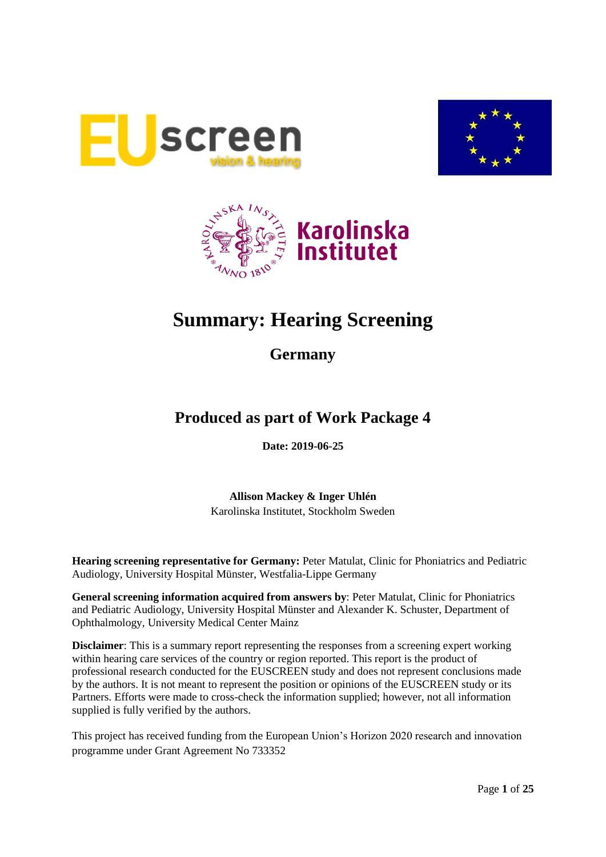





# **Summary: Hearing Screening**

**Germany**

## **Produced as part of Work Package 4**

**Date: 2019-06-25**

**Allison Mackey & Inger Uhlén** Karolinska Institutet, Stockholm Sweden

**Hearing screening representative for Germany:** Peter Matulat, Clinic for Phoniatrics and Pediatric Audiology, University Hospital Münster, Westfalia-Lippe Germany

**General screening information acquired from answers by**: Peter Matulat, Clinic for Phoniatrics and Pediatric Audiology, University Hospital Münster and Alexander K. Schuster, Department of Ophthalmology, University Medical Center Mainz

**Disclaimer**: This is a summary report representing the responses from a screening expert working within hearing care services of the country or region reported. This report is the product of professional research conducted for the EUSCREEN study and does not represent conclusions made by the authors. It is not meant to represent the position or opinions of the EUSCREEN study or its Partners. Efforts were made to cross-check the information supplied; however, not all information supplied is fully verified by the authors.

This project has received funding from the European Union's Horizon 2020 research and innovation programme under Grant Agreement No 733352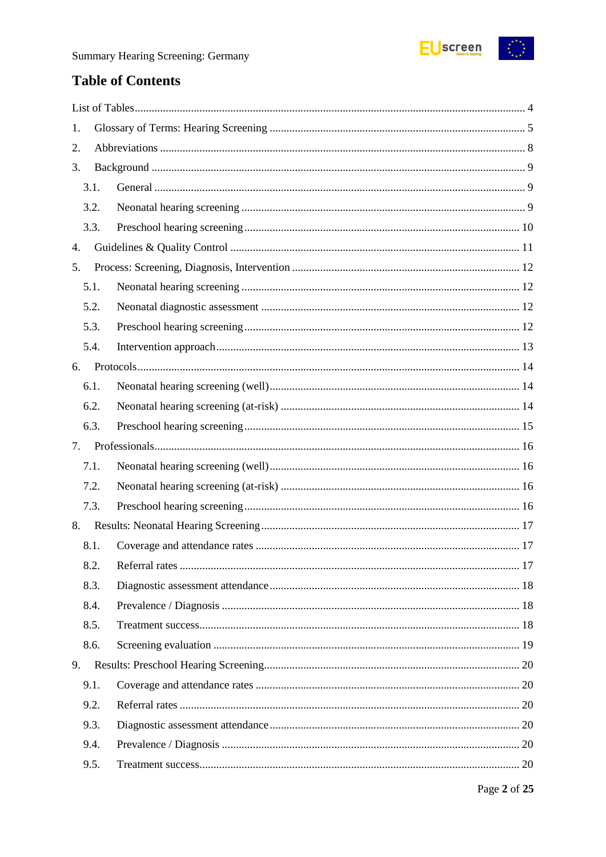

## **Table of Contents**

| 1.   |  |
|------|--|
| 2.   |  |
| 3.   |  |
| 3.1. |  |
| 3.2. |  |
| 3.3. |  |
| 4.   |  |
| 5.   |  |
| 5.1. |  |
| 5.2. |  |
| 5.3. |  |
| 5.4. |  |
| 6.   |  |
| 6.1. |  |
| 6.2. |  |
| 6.3. |  |
| 7.   |  |
| 7.1. |  |
| 7.2. |  |
| 7.3. |  |
| 8.   |  |
| 8.1. |  |
| 8.2. |  |
| 8.3. |  |
| 8.4. |  |
| 8.5. |  |
| 8.6. |  |
| 9.   |  |
| 9.1. |  |
| 9.2. |  |
| 9.3. |  |
| 9.4. |  |
| 9.5. |  |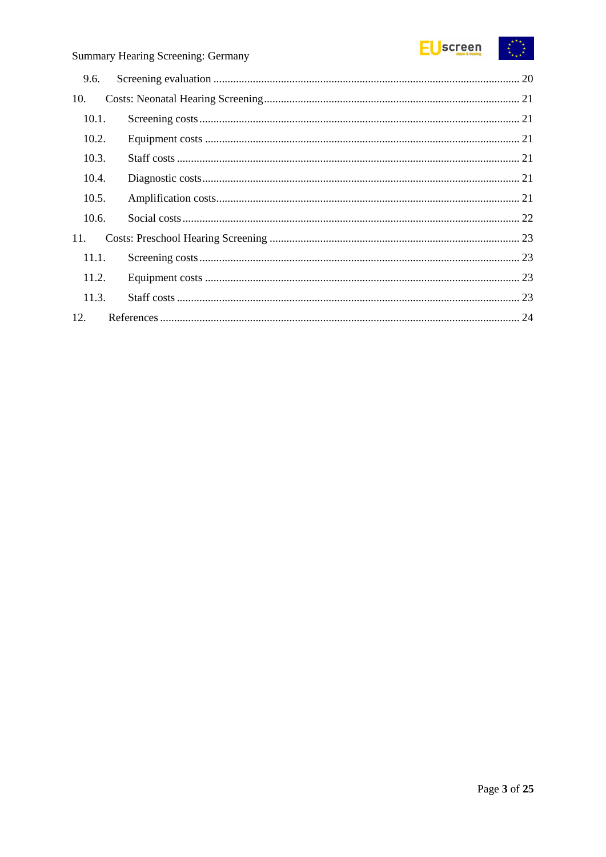

| 9.6.  |  |
|-------|--|
| 10.   |  |
| 10.1. |  |
| 10.2. |  |
| 10.3. |  |
| 10.4. |  |
| 10.5. |  |
| 10.6. |  |
| 11.   |  |
| 11.1. |  |
| 11.2. |  |
| 11.3. |  |
| 12.   |  |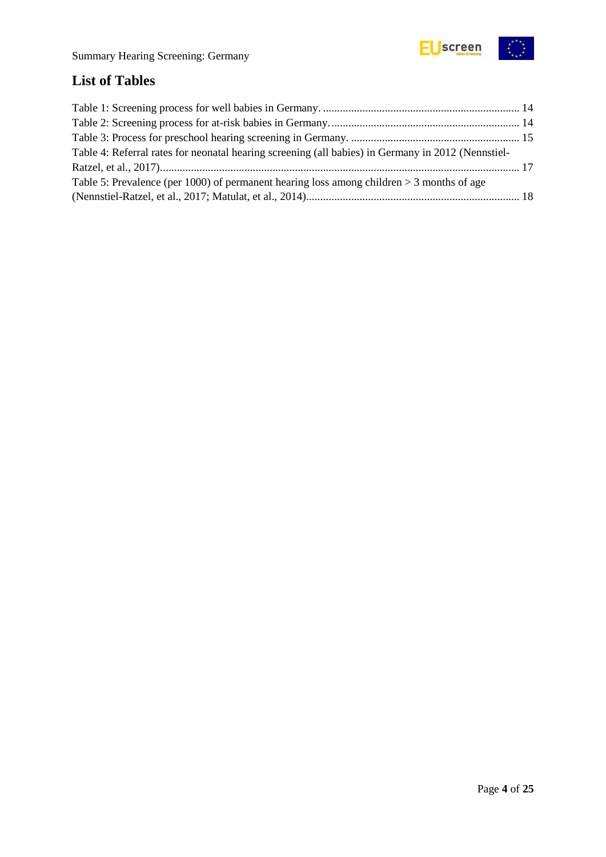

## <span id="page-3-0"></span>**List of Tables**

| Table 4: Referral rates for neonatal hearing screening (all babies) in Germany in 2012 (Nennstiel- |  |
|----------------------------------------------------------------------------------------------------|--|
|                                                                                                    |  |
| Table 5: Prevalence (per 1000) of permanent hearing loss among children $>$ 3 months of age        |  |
|                                                                                                    |  |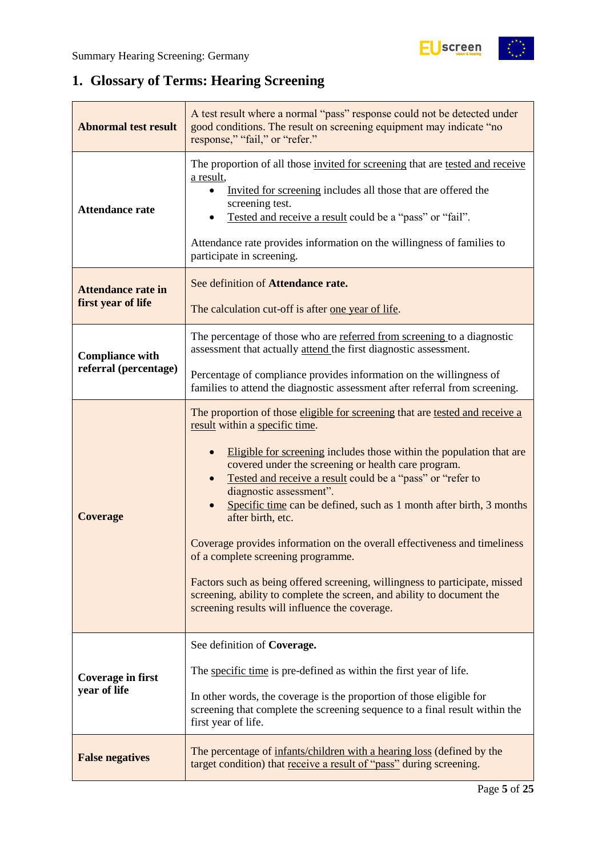

 $\begin{pmatrix} x^{\alpha} & x^{\alpha} \\ x^{\alpha} & x^{\alpha} \end{pmatrix}$ 

## <span id="page-4-0"></span>**1. Glossary of Terms: Hearing Screening**

| <b>Abnormal test result</b>                     | A test result where a normal "pass" response could not be detected under<br>good conditions. The result on screening equipment may indicate "no<br>response," "fail," or "refer."                                                                                                                                                                                                                                                                                                                                                                                                                                                                                                                                                                                |  |  |  |
|-------------------------------------------------|------------------------------------------------------------------------------------------------------------------------------------------------------------------------------------------------------------------------------------------------------------------------------------------------------------------------------------------------------------------------------------------------------------------------------------------------------------------------------------------------------------------------------------------------------------------------------------------------------------------------------------------------------------------------------------------------------------------------------------------------------------------|--|--|--|
| <b>Attendance rate</b>                          | The proportion of all those invited for screening that are tested and receive<br>a result,<br>Invited for screening includes all those that are offered the<br>screening test.<br>Tested and receive a result could be a "pass" or "fail".<br>Attendance rate provides information on the willingness of families to<br>participate in screening.                                                                                                                                                                                                                                                                                                                                                                                                                |  |  |  |
| <b>Attendance rate in</b><br>first year of life | See definition of Attendance rate.<br>The calculation cut-off is after one year of life.                                                                                                                                                                                                                                                                                                                                                                                                                                                                                                                                                                                                                                                                         |  |  |  |
| <b>Compliance with</b>                          | The percentage of those who are referred from screening to a diagnostic<br>assessment that actually attend the first diagnostic assessment.                                                                                                                                                                                                                                                                                                                                                                                                                                                                                                                                                                                                                      |  |  |  |
| referral (percentage)                           | Percentage of compliance provides information on the willingness of<br>families to attend the diagnostic assessment after referral from screening.                                                                                                                                                                                                                                                                                                                                                                                                                                                                                                                                                                                                               |  |  |  |
| <b>Coverage</b>                                 | The proportion of those eligible for screening that are tested and receive a<br>result within a specific time.<br>Eligible for screening includes those within the population that are<br>covered under the screening or health care program.<br>Tested and receive a result could be a "pass" or "refer to<br>diagnostic assessment".<br>Specific time can be defined, such as 1 month after birth, 3 months<br>after birth, etc.<br>Coverage provides information on the overall effectiveness and timeliness<br>of a complete screening programme.<br>Factors such as being offered screening, willingness to participate, missed<br>screening, ability to complete the screen, and ability to document the<br>screening results will influence the coverage. |  |  |  |
| Coverage in first<br>year of life               | See definition of Coverage.<br>The specific time is pre-defined as within the first year of life.<br>In other words, the coverage is the proportion of those eligible for<br>screening that complete the screening sequence to a final result within the<br>first year of life.                                                                                                                                                                                                                                                                                                                                                                                                                                                                                  |  |  |  |
| <b>False negatives</b>                          | The percentage of infants/children with a hearing loss (defined by the<br>target condition) that receive a result of "pass" during screening.                                                                                                                                                                                                                                                                                                                                                                                                                                                                                                                                                                                                                    |  |  |  |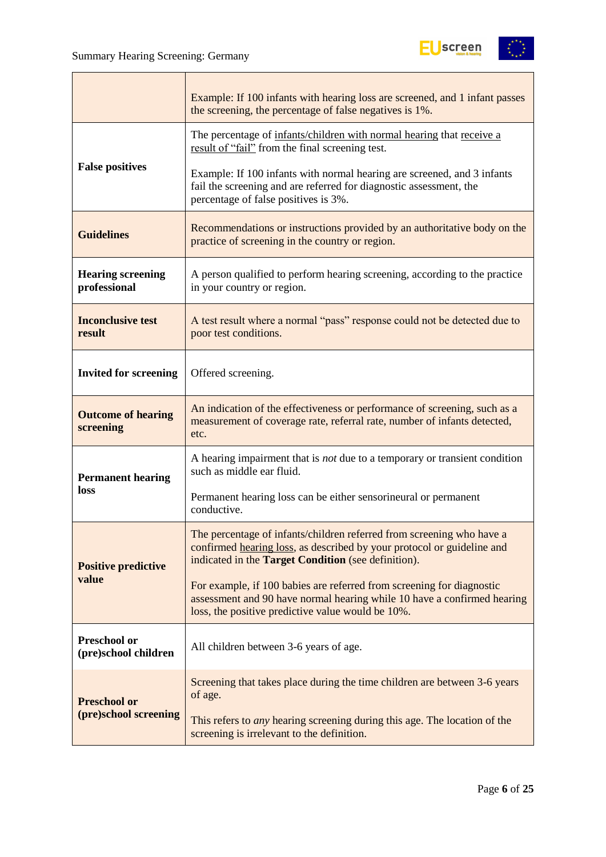

|                                             | Example: If 100 infants with hearing loss are screened, and 1 infant passes<br>the screening, the percentage of false negatives is 1%.                                                                        |  |  |  |
|---------------------------------------------|---------------------------------------------------------------------------------------------------------------------------------------------------------------------------------------------------------------|--|--|--|
|                                             | The percentage of infants/children with normal hearing that receive a<br>result of "fail" from the final screening test.                                                                                      |  |  |  |
| <b>False positives</b>                      | Example: If 100 infants with normal hearing are screened, and 3 infants<br>fail the screening and are referred for diagnostic assessment, the<br>percentage of false positives is 3%.                         |  |  |  |
| <b>Guidelines</b>                           | Recommendations or instructions provided by an authoritative body on the<br>practice of screening in the country or region.                                                                                   |  |  |  |
| <b>Hearing screening</b><br>professional    | A person qualified to perform hearing screening, according to the practice<br>in your country or region.                                                                                                      |  |  |  |
| <b>Inconclusive test</b><br>result          | A test result where a normal "pass" response could not be detected due to<br>poor test conditions.                                                                                                            |  |  |  |
| <b>Invited for screening</b>                | Offered screening.                                                                                                                                                                                            |  |  |  |
| <b>Outcome of hearing</b><br>screening      | An indication of the effectiveness or performance of screening, such as a<br>measurement of coverage rate, referral rate, number of infants detected,<br>etc.                                                 |  |  |  |
| <b>Permanent hearing</b>                    | A hearing impairment that is not due to a temporary or transient condition<br>such as middle ear fluid.                                                                                                       |  |  |  |
| loss                                        | Permanent hearing loss can be either sensorineural or permanent<br>conductive.                                                                                                                                |  |  |  |
| <b>Positive predictive</b>                  | The percentage of infants/children referred from screening who have a<br>confirmed hearing loss, as described by your protocol or guideline and<br>indicated in the <b>Target Condition</b> (see definition). |  |  |  |
| value                                       | For example, if 100 babies are referred from screening for diagnostic<br>assessment and 90 have normal hearing while 10 have a confirmed hearing<br>loss, the positive predictive value would be 10%.         |  |  |  |
| <b>Preschool or</b><br>(pre)school children | All children between 3-6 years of age.                                                                                                                                                                        |  |  |  |
| <b>Preschool or</b>                         | Screening that takes place during the time children are between 3-6 years<br>of age.                                                                                                                          |  |  |  |
| (pre)school screening                       | This refers to <i>any</i> hearing screening during this age. The location of the<br>screening is irrelevant to the definition.                                                                                |  |  |  |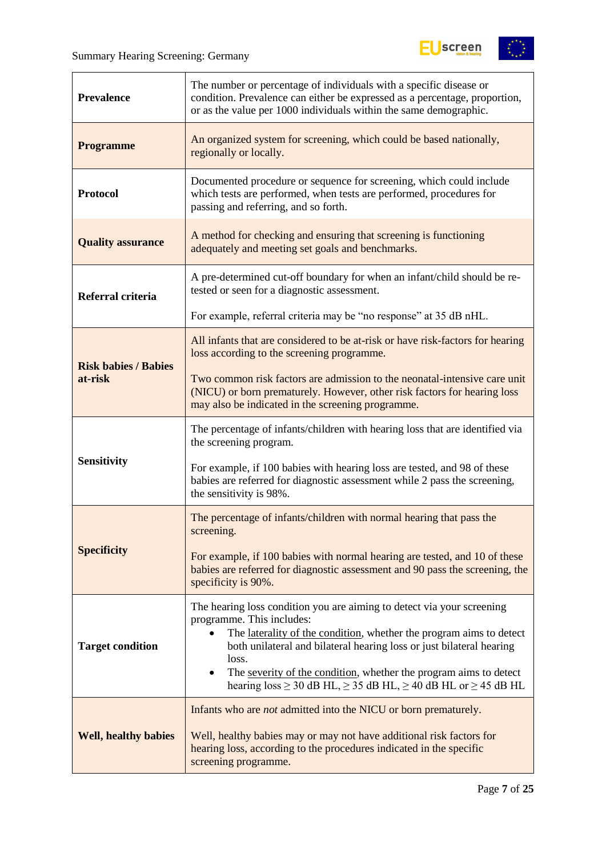

| <b>Prevalence</b>           | The number or percentage of individuals with a specific disease or<br>condition. Prevalence can either be expressed as a percentage, proportion,<br>or as the value per 1000 individuals within the same demographic.                                                                                                                                                                                                                       |  |  |  |
|-----------------------------|---------------------------------------------------------------------------------------------------------------------------------------------------------------------------------------------------------------------------------------------------------------------------------------------------------------------------------------------------------------------------------------------------------------------------------------------|--|--|--|
| <b>Programme</b>            | An organized system for screening, which could be based nationally,<br>regionally or locally.                                                                                                                                                                                                                                                                                                                                               |  |  |  |
| <b>Protocol</b>             | Documented procedure or sequence for screening, which could include<br>which tests are performed, when tests are performed, procedures for<br>passing and referring, and so forth.                                                                                                                                                                                                                                                          |  |  |  |
| <b>Quality assurance</b>    | A method for checking and ensuring that screening is functioning<br>adequately and meeting set goals and benchmarks.                                                                                                                                                                                                                                                                                                                        |  |  |  |
| Referral criteria           | A pre-determined cut-off boundary for when an infant/child should be re-<br>tested or seen for a diagnostic assessment.                                                                                                                                                                                                                                                                                                                     |  |  |  |
|                             | For example, referral criteria may be "no response" at 35 dB nHL.                                                                                                                                                                                                                                                                                                                                                                           |  |  |  |
| <b>Risk babies / Babies</b> | All infants that are considered to be at-risk or have risk-factors for hearing<br>loss according to the screening programme.                                                                                                                                                                                                                                                                                                                |  |  |  |
| at-risk                     | Two common risk factors are admission to the neonatal-intensive care unit<br>(NICU) or born prematurely. However, other risk factors for hearing loss<br>may also be indicated in the screening programme.                                                                                                                                                                                                                                  |  |  |  |
|                             | The percentage of infants/children with hearing loss that are identified via<br>the screening program.                                                                                                                                                                                                                                                                                                                                      |  |  |  |
| <b>Sensitivity</b>          | For example, if 100 babies with hearing loss are tested, and 98 of these<br>babies are referred for diagnostic assessment while 2 pass the screening,<br>the sensitivity is 98%.                                                                                                                                                                                                                                                            |  |  |  |
|                             | The percentage of infants/children with normal hearing that pass the<br>screening.                                                                                                                                                                                                                                                                                                                                                          |  |  |  |
| <b>Specificity</b>          | For example, if 100 babies with normal hearing are tested, and 10 of these<br>babies are referred for diagnostic assessment and 90 pass the screening, the<br>specificity is 90%.                                                                                                                                                                                                                                                           |  |  |  |
| <b>Target condition</b>     | The hearing loss condition you are aiming to detect via your screening<br>programme. This includes:<br>The laterality of the condition, whether the program aims to detect<br>$\bullet$<br>both unilateral and bilateral hearing loss or just bilateral hearing<br>loss.<br>The severity of the condition, whether the program aims to detect<br>$\bullet$<br>hearing $loss \ge 30$ dB HL, $\ge 35$ dB HL, $\ge 40$ dB HL or $\ge 45$ dB HL |  |  |  |
| <b>Well, healthy babies</b> | Infants who are <i>not</i> admitted into the NICU or born prematurely.<br>Well, healthy babies may or may not have additional risk factors for<br>hearing loss, according to the procedures indicated in the specific<br>screening programme.                                                                                                                                                                                               |  |  |  |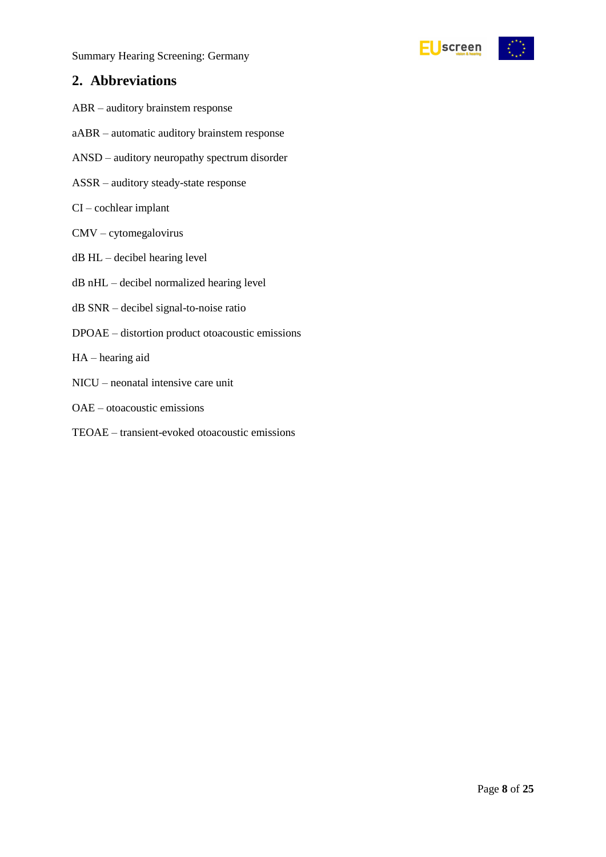### <span id="page-7-0"></span>**2. Abbreviations**

- ABR auditory brainstem response
- aABR automatic auditory brainstem response
- ANSD auditory neuropathy spectrum disorder
- ASSR auditory steady-state response
- CI cochlear implant
- CMV cytomegalovirus
- dB HL decibel hearing level
- dB nHL decibel normalized hearing level
- dB SNR decibel signal-to-noise ratio
- DPOAE distortion product otoacoustic emissions
- HA hearing aid
- NICU neonatal intensive care unit
- OAE otoacoustic emissions
- TEOAE transient-evoked otoacoustic emissions

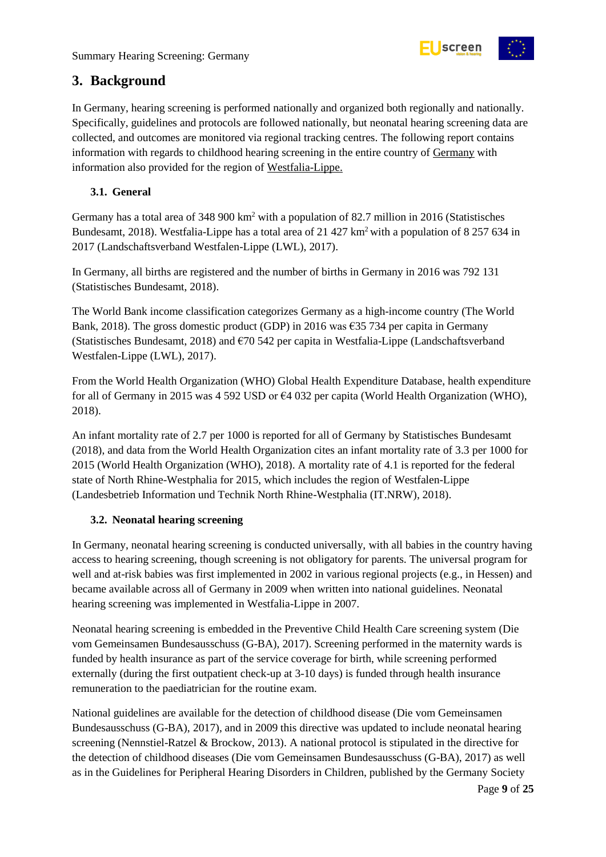

## <span id="page-8-0"></span>**3. Background**

In Germany, hearing screening is performed nationally and organized both regionally and nationally. Specifically, guidelines and protocols are followed nationally, but neonatal hearing screening data are collected, and outcomes are monitored via regional tracking centres. The following report contains information with regards to childhood hearing screening in the entire country of Germany with information also provided for the region of Westfalia-Lippe.

#### <span id="page-8-1"></span>**3.1. General**

Germany has a total area of 348 900 km<sup>2</sup> with a population of 82.7 million in 2016 (Statistisches Bundesamt, 2018). Westfalia-Lippe has a total area of 21 427 km<sup>2</sup> with a population of 8 257 634 in 2017 (Landschaftsverband Westfalen-Lippe (LWL), 2017).

In Germany, all births are registered and the number of births in Germany in 2016 was 792 131 (Statistisches Bundesamt, 2018).

The World Bank income classification categorizes Germany as a high-income country (The World Bank, 2018). The gross domestic product (GDP) in 2016 was  $\epsilon$ 35 734 per capita in Germany (Statistisches Bundesamt, 2018) and €70 542 per capita in Westfalia-Lippe (Landschaftsverband Westfalen-Lippe (LWL), 2017).

From the World Health Organization (WHO) Global Health Expenditure Database, health expenditure for all of Germany in 2015 was 4 592 USD or €4 032 per capita (World Health Organization (WHO), 2018).

An infant mortality rate of 2.7 per 1000 is reported for all of Germany by Statistisches Bundesamt (2018), and data from the World Health Organization cites an infant mortality rate of 3.3 per 1000 for 2015 (World Health Organization (WHO), 2018). A mortality rate of 4.1 is reported for the federal state of North Rhine-Westphalia for 2015, which includes the region of Westfalen-Lippe (Landesbetrieb Information und Technik North Rhine-Westphalia (IT.NRW), 2018).

#### <span id="page-8-2"></span>**3.2. Neonatal hearing screening**

In Germany, neonatal hearing screening is conducted universally, with all babies in the country having access to hearing screening, though screening is not obligatory for parents. The universal program for well and at-risk babies was first implemented in 2002 in various regional projects (e.g., in Hessen) and became available across all of Germany in 2009 when written into national guidelines. Neonatal hearing screening was implemented in Westfalia-Lippe in 2007.

Neonatal hearing screening is embedded in the Preventive Child Health Care screening system (Die vom Gemeinsamen Bundesausschuss (G-BA), 2017). Screening performed in the maternity wards is funded by health insurance as part of the service coverage for birth, while screening performed externally (during the first outpatient check-up at 3-10 days) is funded through health insurance remuneration to the paediatrician for the routine exam.

National guidelines are available for the detection of childhood disease (Die vom Gemeinsamen Bundesausschuss (G-BA), 2017), and in 2009 this directive was updated to include neonatal hearing screening (Nennstiel-Ratzel & Brockow, 2013). A national protocol is stipulated in the directive for the detection of childhood diseases (Die vom Gemeinsamen Bundesausschuss (G-BA), 2017) as well as in the Guidelines for Peripheral Hearing Disorders in Children, published by the Germany Society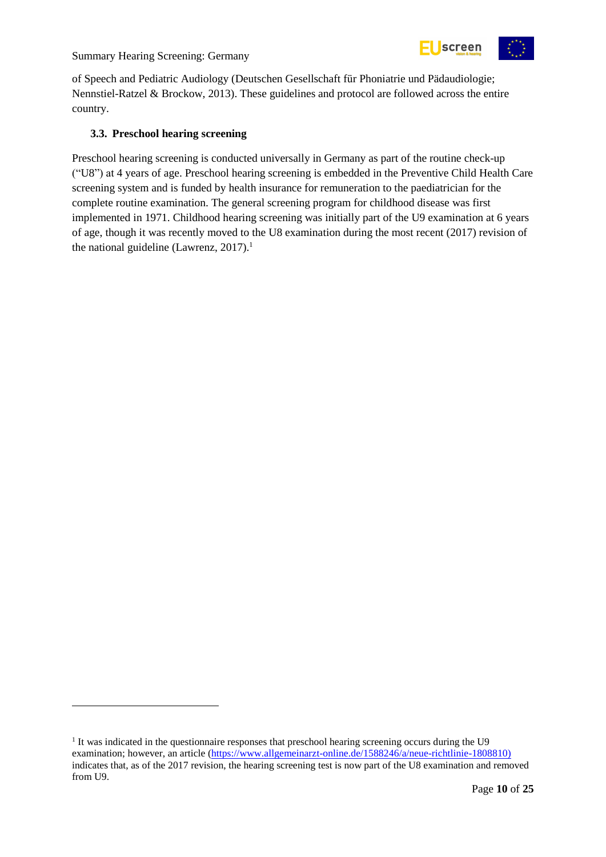

of Speech and Pediatric Audiology (Deutschen Gesellschaft für Phoniatrie und Pädaudiologie; Nennstiel-Ratzel & Brockow, 2013). These guidelines and protocol are followed across the entire country.

#### <span id="page-9-0"></span>**3.3. Preschool hearing screening**

-

Preschool hearing screening is conducted universally in Germany as part of the routine check-up ("U8") at 4 years of age. Preschool hearing screening is embedded in the Preventive Child Health Care screening system and is funded by health insurance for remuneration to the paediatrician for the complete routine examination. The general screening program for childhood disease was first implemented in 1971. Childhood hearing screening was initially part of the U9 examination at 6 years of age, though it was recently moved to the U8 examination during the most recent (2017) revision of the national guideline (Lawrenz, 2017).<sup>1</sup>

<sup>&</sup>lt;sup>1</sup> It was indicated in the questionnaire responses that preschool hearing screening occurs during the U9 examination; however, an article [\(https://www.allgemeinarzt-online.de/1588246/a/neue-richtlinie-1808810\)](https://www.allgemeinarzt-online.de/1588246/a/neue-richtlinie-1808810)) indicates that, as of the 2017 revision, the hearing screening test is now part of the U8 examination and removed from U9.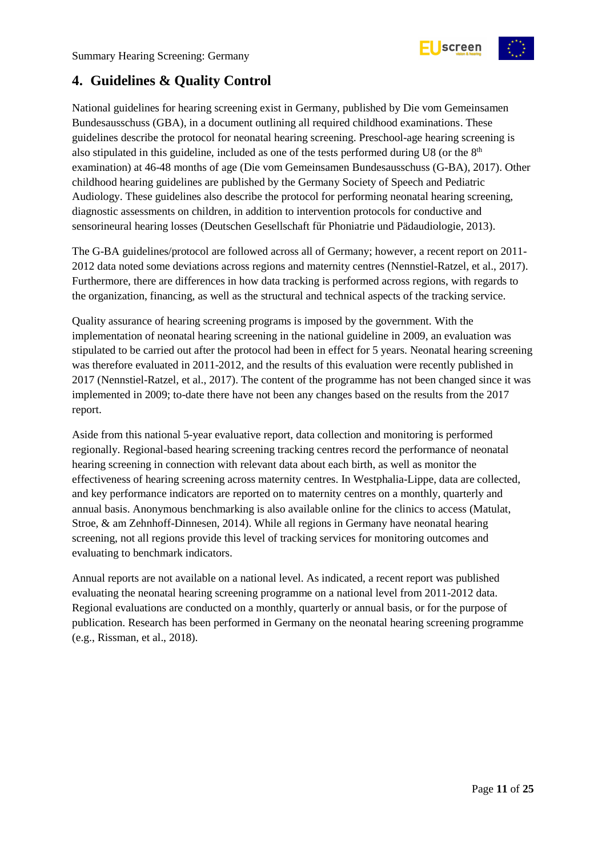

## <span id="page-10-0"></span>**4. Guidelines & Quality Control**

National guidelines for hearing screening exist in Germany, published by Die vom Gemeinsamen Bundesausschuss (GBA), in a document outlining all required childhood examinations. These guidelines describe the protocol for neonatal hearing screening. Preschool-age hearing screening is also stipulated in this guideline, included as one of the tests performed during U8 (or the 8<sup>th</sup> examination) at 46-48 months of age (Die vom Gemeinsamen Bundesausschuss (G-BA), 2017). Other childhood hearing guidelines are published by the Germany Society of Speech and Pediatric Audiology. These guidelines also describe the protocol for performing neonatal hearing screening, diagnostic assessments on children, in addition to intervention protocols for conductive and sensorineural hearing losses (Deutschen Gesellschaft für Phoniatrie und Pädaudiologie, 2013).

The G-BA guidelines/protocol are followed across all of Germany; however, a recent report on 2011- 2012 data noted some deviations across regions and maternity centres (Nennstiel-Ratzel, et al., 2017). Furthermore, there are differences in how data tracking is performed across regions, with regards to the organization, financing, as well as the structural and technical aspects of the tracking service.

Quality assurance of hearing screening programs is imposed by the government. With the implementation of neonatal hearing screening in the national guideline in 2009, an evaluation was stipulated to be carried out after the protocol had been in effect for 5 years. Neonatal hearing screening was therefore evaluated in 2011-2012, and the results of this evaluation were recently published in 2017 (Nennstiel-Ratzel, et al., 2017). The content of the programme has not been changed since it was implemented in 2009; to-date there have not been any changes based on the results from the 2017 report.

Aside from this national 5-year evaluative report, data collection and monitoring is performed regionally. Regional-based hearing screening tracking centres record the performance of neonatal hearing screening in connection with relevant data about each birth, as well as monitor the effectiveness of hearing screening across maternity centres. In Westphalia-Lippe, data are collected, and key performance indicators are reported on to maternity centres on a monthly, quarterly and annual basis. Anonymous benchmarking is also available online for the clinics to access (Matulat, Stroe, & am Zehnhoff-Dinnesen, 2014). While all regions in Germany have neonatal hearing screening, not all regions provide this level of tracking services for monitoring outcomes and evaluating to benchmark indicators.

Annual reports are not available on a national level. As indicated, a recent report was published evaluating the neonatal hearing screening programme on a national level from 2011-2012 data. Regional evaluations are conducted on a monthly, quarterly or annual basis, or for the purpose of publication. Research has been performed in Germany on the neonatal hearing screening programme (e.g., Rissman, et al., 2018).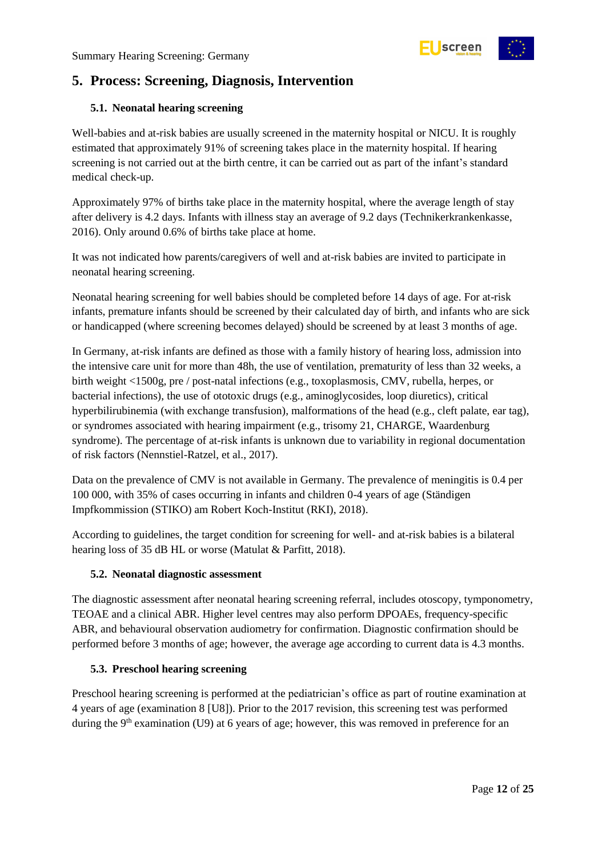

## <span id="page-11-0"></span>**5. Process: Screening, Diagnosis, Intervention**

#### <span id="page-11-1"></span>**5.1. Neonatal hearing screening**

Well-babies and at-risk babies are usually screened in the maternity hospital or NICU. It is roughly estimated that approximately 91% of screening takes place in the maternity hospital. If hearing screening is not carried out at the birth centre, it can be carried out as part of the infant's standard medical check-up.

Approximately 97% of births take place in the maternity hospital, where the average length of stay after delivery is 4.2 days. Infants with illness stay an average of 9.2 days (Technikerkrankenkasse, 2016). Only around 0.6% of births take place at home.

It was not indicated how parents/caregivers of well and at-risk babies are invited to participate in neonatal hearing screening.

Neonatal hearing screening for well babies should be completed before 14 days of age. For at-risk infants, premature infants should be screened by their calculated day of birth, and infants who are sick or handicapped (where screening becomes delayed) should be screened by at least 3 months of age.

In Germany, at-risk infants are defined as those with a family history of hearing loss, admission into the intensive care unit for more than 48h, the use of ventilation, prematurity of less than 32 weeks, a birth weight <1500g, pre / post-natal infections (e.g., toxoplasmosis, CMV, rubella, herpes, or bacterial infections), the use of ototoxic drugs (e.g., aminoglycosides, loop diuretics), critical hyperbilirubinemia (with exchange transfusion), malformations of the head (e.g., cleft palate, ear tag), or syndromes associated with hearing impairment (e.g., trisomy 21, CHARGE, Waardenburg syndrome). The percentage of at-risk infants is unknown due to variability in regional documentation of risk factors (Nennstiel-Ratzel, et al., 2017).

Data on the prevalence of CMV is not available in Germany. The prevalence of meningitis is 0.4 per 100 000, with 35% of cases occurring in infants and children 0-4 years of age (Ständigen Impfkommission (STIKO) am Robert Koch-Institut (RKI), 2018).

According to guidelines, the target condition for screening for well- and at-risk babies is a bilateral hearing loss of 35 dB HL or worse (Matulat & Parfitt, 2018).

#### <span id="page-11-2"></span>**5.2. Neonatal diagnostic assessment**

The diagnostic assessment after neonatal hearing screening referral, includes otoscopy, tymponometry, TEOAE and a clinical ABR. Higher level centres may also perform DPOAEs, frequency-specific ABR, and behavioural observation audiometry for confirmation. Diagnostic confirmation should be performed before 3 months of age; however, the average age according to current data is 4.3 months.

#### <span id="page-11-3"></span>**5.3. Preschool hearing screening**

Preschool hearing screening is performed at the pediatrician's office as part of routine examination at 4 years of age (examination 8 [U8]). Prior to the 2017 revision, this screening test was performed during the  $9<sup>th</sup>$  examination (U9) at 6 years of age; however, this was removed in preference for an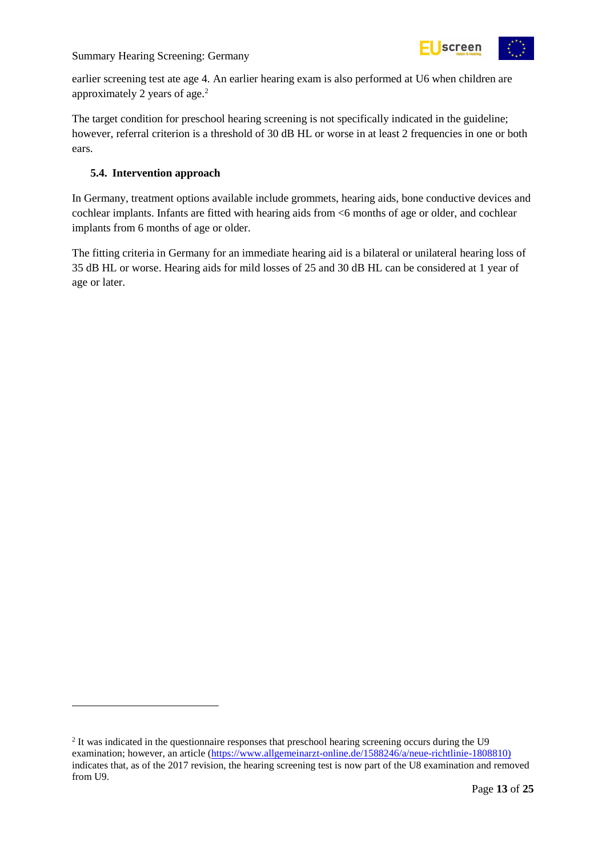

earlier screening test ate age 4. An earlier hearing exam is also performed at U6 when children are approximately 2 years of age.<sup>2</sup>

The target condition for preschool hearing screening is not specifically indicated in the guideline; however, referral criterion is a threshold of 30 dB HL or worse in at least 2 frequencies in one or both ears.

#### <span id="page-12-0"></span>**5.4. Intervention approach**

-

In Germany, treatment options available include grommets, hearing aids, bone conductive devices and cochlear implants. Infants are fitted with hearing aids from <6 months of age or older, and cochlear implants from 6 months of age or older.

The fitting criteria in Germany for an immediate hearing aid is a bilateral or unilateral hearing loss of 35 dB HL or worse. Hearing aids for mild losses of 25 and 30 dB HL can be considered at 1 year of age or later.

<sup>&</sup>lt;sup>2</sup> It was indicated in the questionnaire responses that preschool hearing screening occurs during the U9 examination; however, an article [\(https://www.allgemeinarzt-online.de/1588246/a/neue-richtlinie-1808810\)](https://www.allgemeinarzt-online.de/1588246/a/neue-richtlinie-1808810)) indicates that, as of the 2017 revision, the hearing screening test is now part of the U8 examination and removed from U9.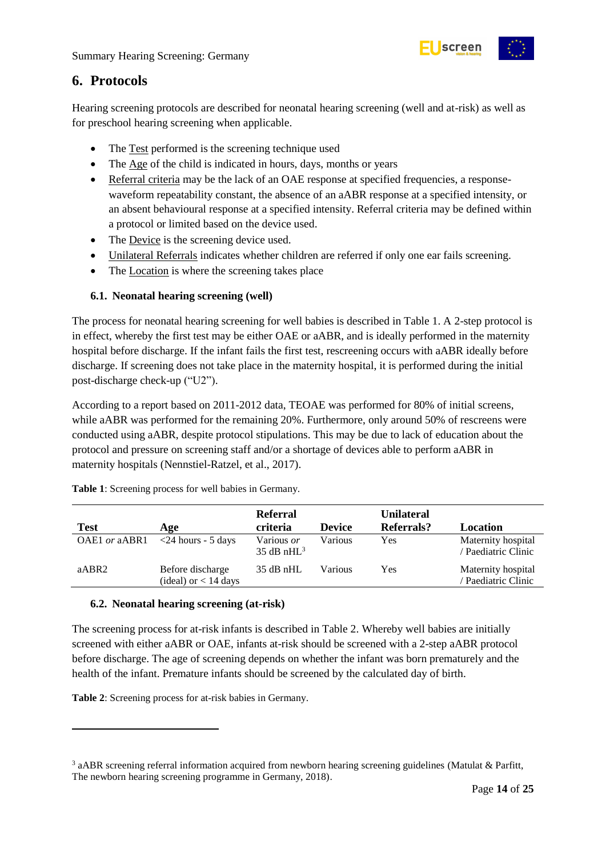

### <span id="page-13-0"></span>**6. Protocols**

Hearing screening protocols are described for neonatal hearing screening (well and at-risk) as well as for preschool hearing screening when applicable.

- The Test performed is the screening technique used
- The Age of the child is indicated in hours, days, months or years
- Referral criteria may be the lack of an OAE response at specified frequencies, a responsewaveform repeatability constant, the absence of an aABR response at a specified intensity, or an absent behavioural response at a specified intensity. Referral criteria may be defined within a protocol or limited based on the device used.
- The Device is the screening device used.
- Unilateral Referrals indicates whether children are referred if only one ear fails screening.
- The Location is where the screening takes place

#### <span id="page-13-1"></span>**6.1. Neonatal hearing screening (well)**

The process for neonatal hearing screening for well babies is described in Table 1. A 2-step protocol is in effect, whereby the first test may be either OAE or aABR, and is ideally performed in the maternity hospital before discharge. If the infant fails the first test, rescreening occurs with aABR ideally before discharge. If screening does not take place in the maternity hospital, it is performed during the initial post-discharge check-up ("U2").

According to a report based on 2011-2012 data, TEOAE was performed for 80% of initial screens, while aABR was performed for the remaining 20%. Furthermore, only around 50% of rescreens were conducted using aABR, despite protocol stipulations. This may be due to lack of education about the protocol and pressure on screening staff and/or a shortage of devices able to perform aABR in maternity hospitals (Nennstiel-Ratzel, et al., 2017).

| <b>Test</b>     | Age                                        | <b>Referral</b><br>criteria  | <b>Device</b> | <b>Unilateral</b><br>Referrals? | Location                                  |
|-----------------|--------------------------------------------|------------------------------|---------------|---------------------------------|-------------------------------------------|
| $OAE1$ or aABR1 | $\langle$ 24 hours - 5 days                | Various or<br>35 dB nH $L^3$ | Various       | Yes                             | Maternity hospital<br>Paediatric Clinic   |
| aABR2           | Before discharge<br>(ideal) or $<$ 14 days | $35$ dB nHL                  | Various       | Yes                             | Maternity hospital<br>' Paediatric Clinic |

<span id="page-13-3"></span>**Table 1**: Screening process for well babies in Germany.

#### <span id="page-13-2"></span>**6.2. Neonatal hearing screening (at-risk)**

The screening process for at-risk infants is described in Table 2. Whereby well babies are initially screened with either aABR or OAE, infants at-risk should be screened with a 2-step aABR protocol before discharge. The age of screening depends on whether the infant was born prematurely and the health of the infant. Premature infants should be screened by the calculated day of birth.

<span id="page-13-4"></span>**Table 2**: Screening process for at-risk babies in Germany.

-

<sup>&</sup>lt;sup>3</sup> aABR screening referral information acquired from newborn hearing screening guidelines (Matulat & Parfitt, The newborn hearing screening programme in Germany, 2018).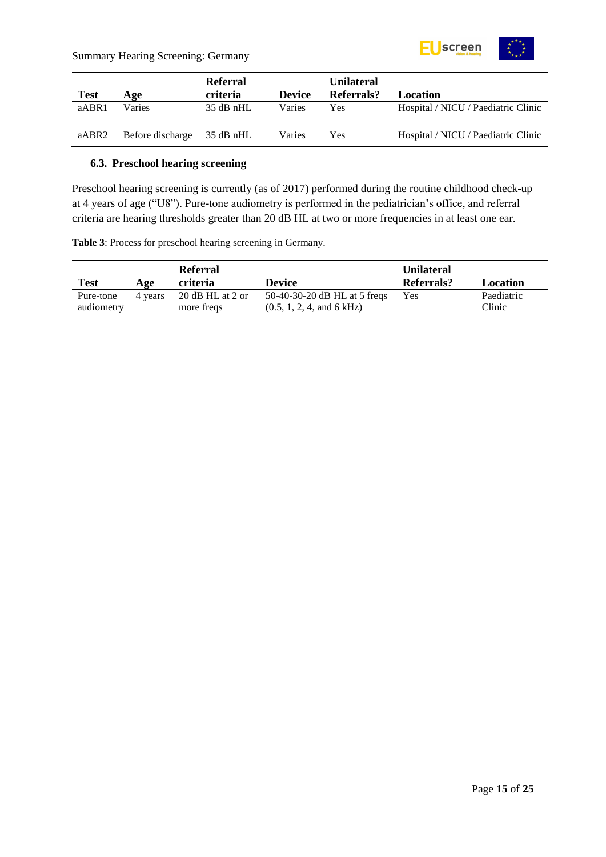

|             |                            | Referral    |               | <b>Unilateral</b> |                                     |
|-------------|----------------------------|-------------|---------------|-------------------|-------------------------------------|
| <b>Test</b> | Age                        | criteria    | <b>Device</b> | Referrals?        | <b>Location</b>                     |
| aABR1       | Varies                     | $35$ dB nHL | Varies        | Yes               | Hospital / NICU / Paediatric Clinic |
| aABR2       | Before discharge 35 dB nHL |             | Varies        | Yes               | Hospital / NICU / Paediatric Clinic |

#### <span id="page-14-0"></span>**6.3. Preschool hearing screening**

Preschool hearing screening is currently (as of 2017) performed during the routine childhood check-up at 4 years of age ("U8"). Pure-tone audiometry is performed in the pediatrician's office, and referral criteria are hearing thresholds greater than 20 dB HL at two or more frequencies in at least one ear.

<span id="page-14-1"></span>**Table 3**: Process for preschool hearing screening in Germany.

|                         |         | <b>Referral</b>                |                                                           | <b>Unilateral</b> |                      |
|-------------------------|---------|--------------------------------|-----------------------------------------------------------|-------------------|----------------------|
| Test                    | Age     | <b>criteria</b>                | <b>Device</b>                                             | Referrals?        | Location             |
| Pure-tone<br>audiometry | 4 years | 20 dB HL at 2 or<br>more freqs | 50-40-30-20 dB HL at 5 freqs<br>(0.5, 1, 2, 4, and 6 kHz) | Yes               | Paediatric<br>Clinic |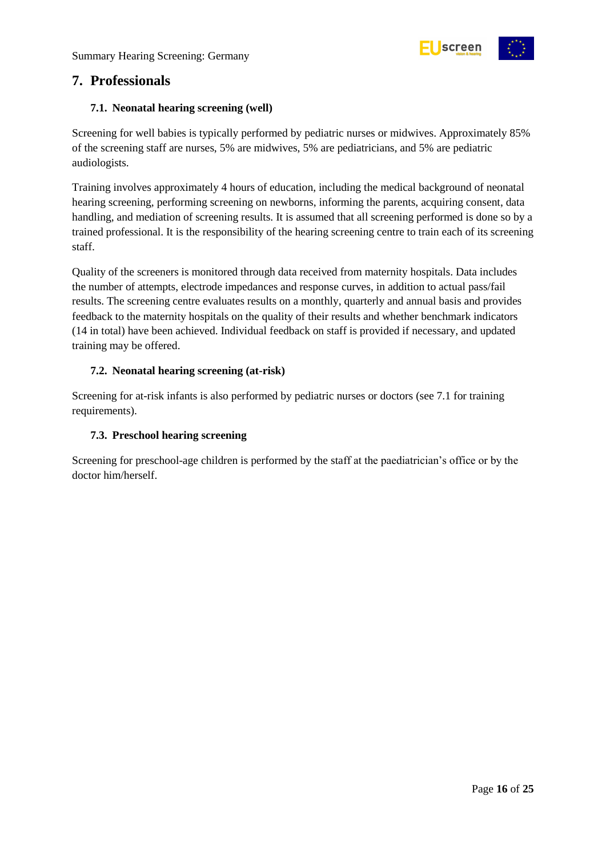

### <span id="page-15-0"></span>**7. Professionals**

#### <span id="page-15-1"></span>**7.1. Neonatal hearing screening (well)**

Screening for well babies is typically performed by pediatric nurses or midwives. Approximately 85% of the screening staff are nurses, 5% are midwives, 5% are pediatricians, and 5% are pediatric audiologists.

Training involves approximately 4 hours of education, including the medical background of neonatal hearing screening, performing screening on newborns, informing the parents, acquiring consent, data handling, and mediation of screening results. It is assumed that all screening performed is done so by a trained professional. It is the responsibility of the hearing screening centre to train each of its screening staff.

Quality of the screeners is monitored through data received from maternity hospitals. Data includes the number of attempts, electrode impedances and response curves, in addition to actual pass/fail results. The screening centre evaluates results on a monthly, quarterly and annual basis and provides feedback to the maternity hospitals on the quality of their results and whether benchmark indicators (14 in total) have been achieved. Individual feedback on staff is provided if necessary, and updated training may be offered.

#### <span id="page-15-2"></span>**7.2. Neonatal hearing screening (at-risk)**

Screening for at-risk infants is also performed by pediatric nurses or doctors (see 7.1 for training requirements).

#### <span id="page-15-3"></span>**7.3. Preschool hearing screening**

Screening for preschool-age children is performed by the staff at the paediatrician's office or by the doctor him/herself.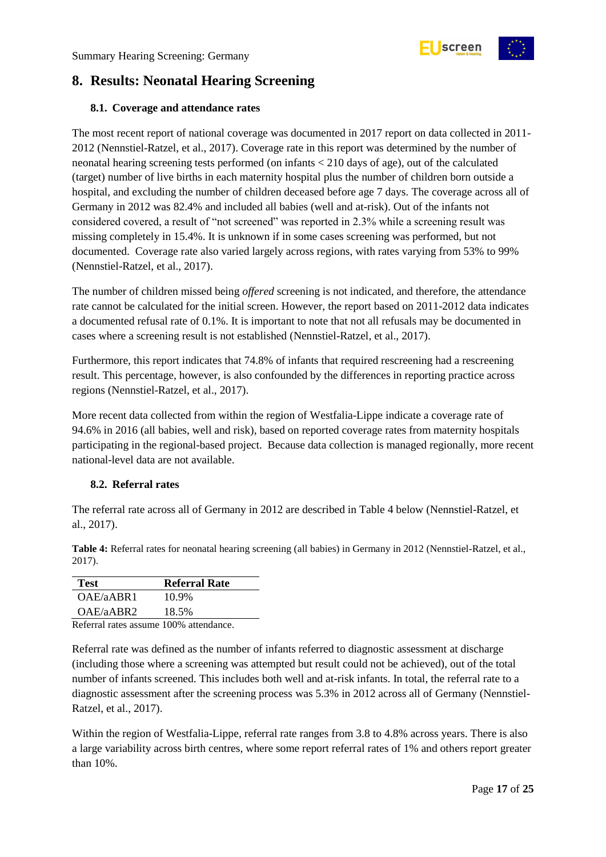

## <span id="page-16-0"></span>**8. Results: Neonatal Hearing Screening**

#### <span id="page-16-1"></span>**8.1. Coverage and attendance rates**

The most recent report of national coverage was documented in 2017 report on data collected in 2011- 2012 (Nennstiel-Ratzel, et al., 2017). Coverage rate in this report was determined by the number of neonatal hearing screening tests performed (on infants < 210 days of age), out of the calculated (target) number of live births in each maternity hospital plus the number of children born outside a hospital, and excluding the number of children deceased before age 7 days. The coverage across all of Germany in 2012 was 82.4% and included all babies (well and at-risk). Out of the infants not considered covered, a result of "not screened" was reported in 2.3% while a screening result was missing completely in 15.4%. It is unknown if in some cases screening was performed, but not documented. Coverage rate also varied largely across regions, with rates varying from 53% to 99% (Nennstiel-Ratzel, et al., 2017).

The number of children missed being *offered* screening is not indicated, and therefore, the attendance rate cannot be calculated for the initial screen. However, the report based on 2011-2012 data indicates a documented refusal rate of 0.1%. It is important to note that not all refusals may be documented in cases where a screening result is not established (Nennstiel-Ratzel, et al., 2017).

Furthermore, this report indicates that 74.8% of infants that required rescreening had a rescreening result. This percentage, however, is also confounded by the differences in reporting practice across regions (Nennstiel-Ratzel, et al., 2017).

More recent data collected from within the region of Westfalia-Lippe indicate a coverage rate of 94.6% in 2016 (all babies, well and risk), based on reported coverage rates from maternity hospitals participating in the regional-based project. Because data collection is managed regionally, more recent national-level data are not available.

#### <span id="page-16-2"></span>**8.2. Referral rates**

The referral rate across all of Germany in 2012 are described in Table 4 below (Nennstiel-Ratzel, et al., 2017).

<span id="page-16-3"></span>**Table 4:** Referral rates for neonatal hearing screening (all babies) in Germany in 2012 (Nennstiel-Ratzel, et al., 2017).

| <b>Test</b>                                         | <b>Referral Rate</b> |
|-----------------------------------------------------|----------------------|
| OAE/aABR1                                           | 10.9%                |
| OAE/aABR2                                           | 18.5%                |
| $\mathbf{R}$ $\mathbf{C}$ $\mathbf{I}$ $\mathbf{C}$ | $1001 \ldots 1$      |

Referral rates assume 100% attendance.

Referral rate was defined as the number of infants referred to diagnostic assessment at discharge (including those where a screening was attempted but result could not be achieved), out of the total number of infants screened. This includes both well and at-risk infants. In total, the referral rate to a diagnostic assessment after the screening process was 5.3% in 2012 across all of Germany (Nennstiel-Ratzel, et al., 2017).

Within the region of Westfalia-Lippe, referral rate ranges from 3.8 to 4.8% across years. There is also a large variability across birth centres, where some report referral rates of 1% and others report greater than 10%.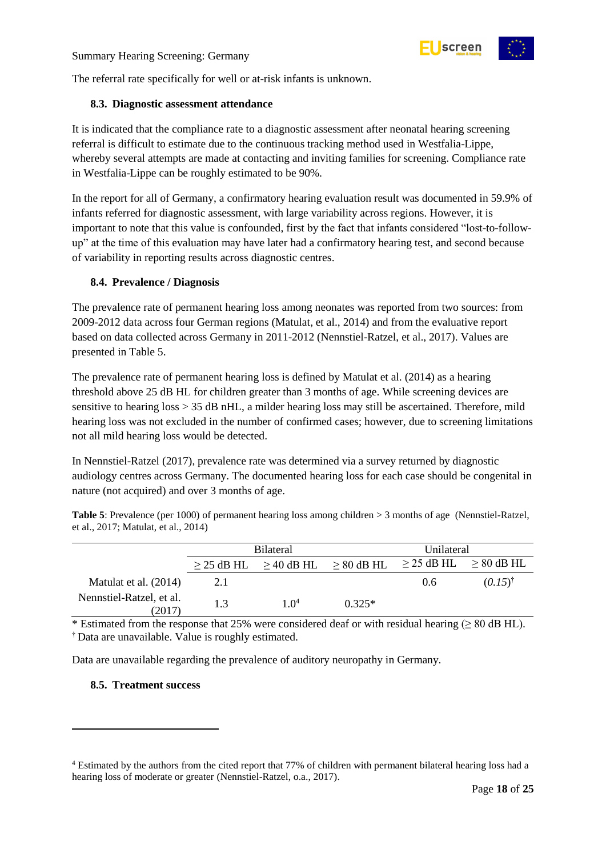

The referral rate specifically for well or at-risk infants is unknown.

#### <span id="page-17-0"></span>**8.3. Diagnostic assessment attendance**

It is indicated that the compliance rate to a diagnostic assessment after neonatal hearing screening referral is difficult to estimate due to the continuous tracking method used in Westfalia-Lippe, whereby several attempts are made at contacting and inviting families for screening. Compliance rate in Westfalia-Lippe can be roughly estimated to be 90%.

In the report for all of Germany, a confirmatory hearing evaluation result was documented in 59.9% of infants referred for diagnostic assessment, with large variability across regions. However, it is important to note that this value is confounded, first by the fact that infants considered "lost-to-followup" at the time of this evaluation may have later had a confirmatory hearing test, and second because of variability in reporting results across diagnostic centres.

#### <span id="page-17-1"></span>**8.4. Prevalence / Diagnosis**

The prevalence rate of permanent hearing loss among neonates was reported from two sources: from 2009-2012 data across four German regions (Matulat, et al., 2014) and from the evaluative report based on data collected across Germany in 2011-2012 (Nennstiel-Ratzel, et al., 2017). Values are presented in Table 5.

The prevalence rate of permanent hearing loss is defined by Matulat et al. (2014) as a hearing threshold above 25 dB HL for children greater than 3 months of age. While screening devices are sensitive to hearing loss  $> 35$  dB nHL, a milder hearing loss may still be ascertained. Therefore, mild hearing loss was not excluded in the number of confirmed cases; however, due to screening limitations not all mild hearing loss would be detected.

In Nennstiel-Ratzel (2017), prevalence rate was determined via a survey returned by diagnostic audiology centres across Germany. The documented hearing loss for each case should be congenital in nature (not acquired) and over 3 months of age.

<span id="page-17-3"></span>**Table 5**: Prevalence (per 1000) of permanent hearing loss among children > 3 months of age (Nennstiel-Ratzel, et al., 2017; Matulat, et al., 2014)

|                                    | <b>Bilateral</b> |        |                                                                                 | Unilateral |                    |
|------------------------------------|------------------|--------|---------------------------------------------------------------------------------|------------|--------------------|
|                                    |                  |        | $\geq$ 25 dB HL $\geq$ 40 dB HL $\geq$ 80 dB HL $\geq$ 25 dB HL $\geq$ 80 dB HL |            |                    |
| Matulat et al. (2014)              | 2.1              |        |                                                                                 | 0.6        | $(0.15)^{\dagger}$ |
| Nennstiel-Ratzel, et al.<br>(2017) | 1.3              | 1 $04$ | $0.325*$                                                                        |            |                    |

\* Estimated from the response that 25% were considered deaf or with residual hearing ( $\geq 80$  dB HL). † Data are unavailable. Value is roughly estimated.

Data are unavailable regarding the prevalence of auditory neuropathy in Germany.

#### <span id="page-17-2"></span>**8.5. Treatment success**

-

<sup>4</sup> Estimated by the authors from the cited report that 77% of children with permanent bilateral hearing loss had a hearing loss of moderate or greater (Nennstiel-Ratzel, o.a., 2017).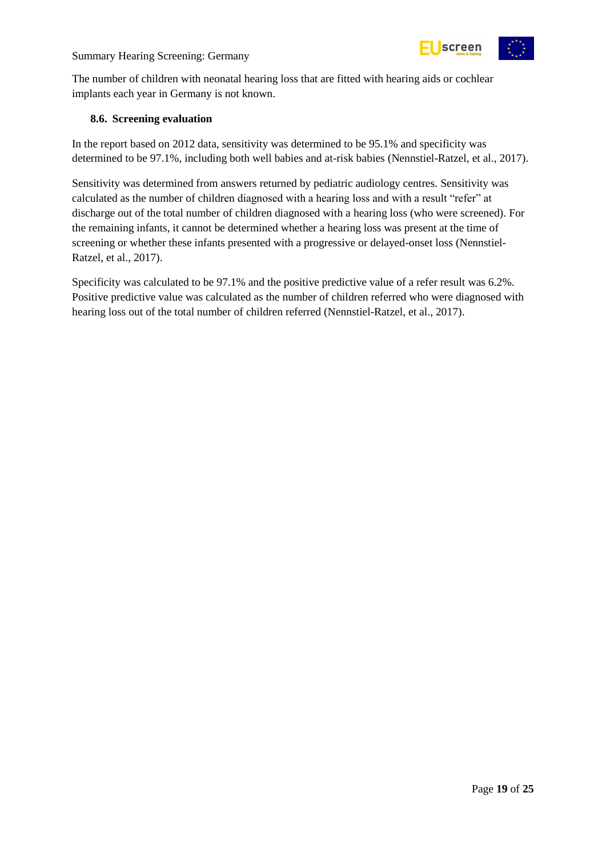

The number of children with neonatal hearing loss that are fitted with hearing aids or cochlear implants each year in Germany is not known.

#### <span id="page-18-0"></span>**8.6. Screening evaluation**

In the report based on 2012 data, sensitivity was determined to be 95.1% and specificity was determined to be 97.1%, including both well babies and at-risk babies (Nennstiel-Ratzel, et al., 2017).

Sensitivity was determined from answers returned by pediatric audiology centres. Sensitivity was calculated as the number of children diagnosed with a hearing loss and with a result "refer" at discharge out of the total number of children diagnosed with a hearing loss (who were screened). For the remaining infants, it cannot be determined whether a hearing loss was present at the time of screening or whether these infants presented with a progressive or delayed-onset loss (Nennstiel-Ratzel, et al., 2017).

Specificity was calculated to be 97.1% and the positive predictive value of a refer result was 6.2%. Positive predictive value was calculated as the number of children referred who were diagnosed with hearing loss out of the total number of children referred (Nennstiel-Ratzel, et al., 2017).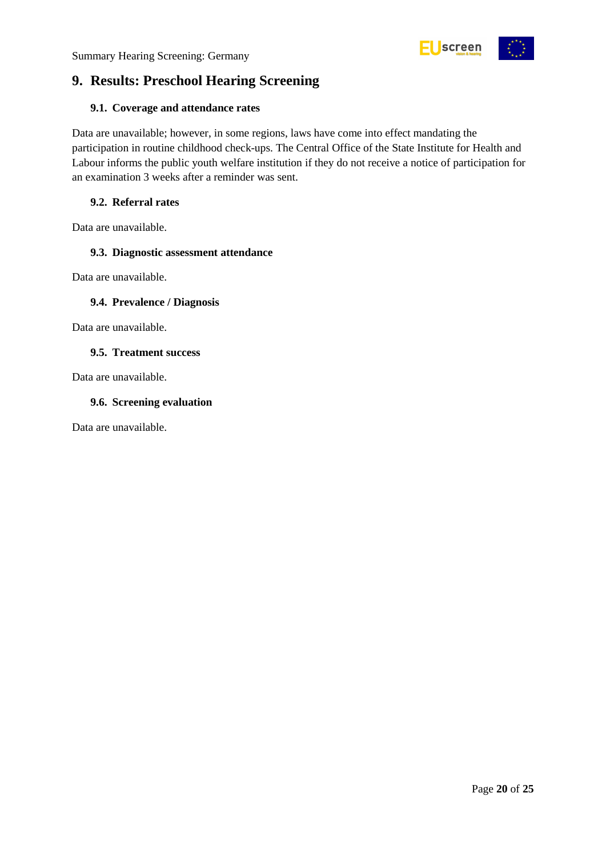



## <span id="page-19-0"></span>**9. Results: Preschool Hearing Screening**

#### <span id="page-19-1"></span>**9.1. Coverage and attendance rates**

Data are unavailable; however, in some regions, laws have come into effect mandating the participation in routine childhood check-ups. The Central Office of the State Institute for Health and Labour informs the public youth welfare institution if they do not receive a notice of participation for an examination 3 weeks after a reminder was sent.

#### <span id="page-19-2"></span>**9.2. Referral rates**

Data are unavailable.

#### <span id="page-19-3"></span>**9.3. Diagnostic assessment attendance**

Data are unavailable.

#### <span id="page-19-4"></span>**9.4. Prevalence / Diagnosis**

Data are unavailable.

#### <span id="page-19-5"></span>**9.5. Treatment success**

Data are unavailable.

#### <span id="page-19-6"></span>**9.6. Screening evaluation**

Data are unavailable.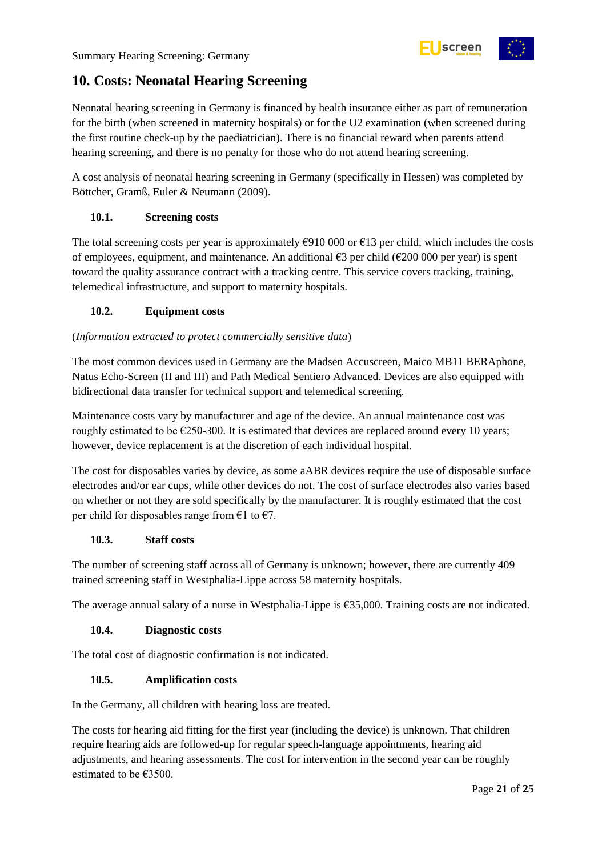## <span id="page-20-0"></span>**10. Costs: Neonatal Hearing Screening**

Neonatal hearing screening in Germany is financed by health insurance either as part of remuneration for the birth (when screened in maternity hospitals) or for the U2 examination (when screened during the first routine check-up by the paediatrician). There is no financial reward when parents attend hearing screening, and there is no penalty for those who do not attend hearing screening.

screen

A cost analysis of neonatal hearing screening in Germany (specifically in Hessen) was completed by Böttcher, Gramß, Euler & Neumann (2009).

#### <span id="page-20-1"></span>**10.1. Screening costs**

The total screening costs per year is approximately  $\epsilon$ 910 000 or  $\epsilon$ 13 per child, which includes the costs of employees, equipment, and maintenance. An additional  $\epsilon$ 3 per child ( $\epsilon$ 200 000 per year) is spent toward the quality assurance contract with a tracking centre. This service covers tracking, training, telemedical infrastructure, and support to maternity hospitals.

#### <span id="page-20-2"></span>**10.2. Equipment costs**

#### (*Information extracted to protect commercially sensitive data*)

The most common devices used in Germany are the Madsen Accuscreen, Maico MB11 BERAphone, Natus Echo-Screen (II and III) and Path Medical Sentiero Advanced. Devices are also equipped with bidirectional data transfer for technical support and telemedical screening.

Maintenance costs vary by manufacturer and age of the device. An annual maintenance cost was roughly estimated to be  $\epsilon$ 250-300. It is estimated that devices are replaced around every 10 years; however, device replacement is at the discretion of each individual hospital.

The cost for disposables varies by device, as some aABR devices require the use of disposable surface electrodes and/or ear cups, while other devices do not. The cost of surface electrodes also varies based on whether or not they are sold specifically by the manufacturer. It is roughly estimated that the cost per child for disposables range from  $\epsilon$ 1 to  $\epsilon$ 7.

#### <span id="page-20-3"></span>**10.3. Staff costs**

The number of screening staff across all of Germany is unknown; however, there are currently 409 trained screening staff in Westphalia-Lippe across 58 maternity hospitals.

The average annual salary of a nurse in Westphalia-Lippe is  $£35,000$ . Training costs are not indicated.

#### <span id="page-20-4"></span>**10.4. Diagnostic costs**

The total cost of diagnostic confirmation is not indicated.

#### <span id="page-20-5"></span>**10.5. Amplification costs**

In the Germany, all children with hearing loss are treated.

The costs for hearing aid fitting for the first year (including the device) is unknown. That children require hearing aids are followed-up for regular speech-language appointments, hearing aid adjustments, and hearing assessments. The cost for intervention in the second year can be roughly estimated to be €3500.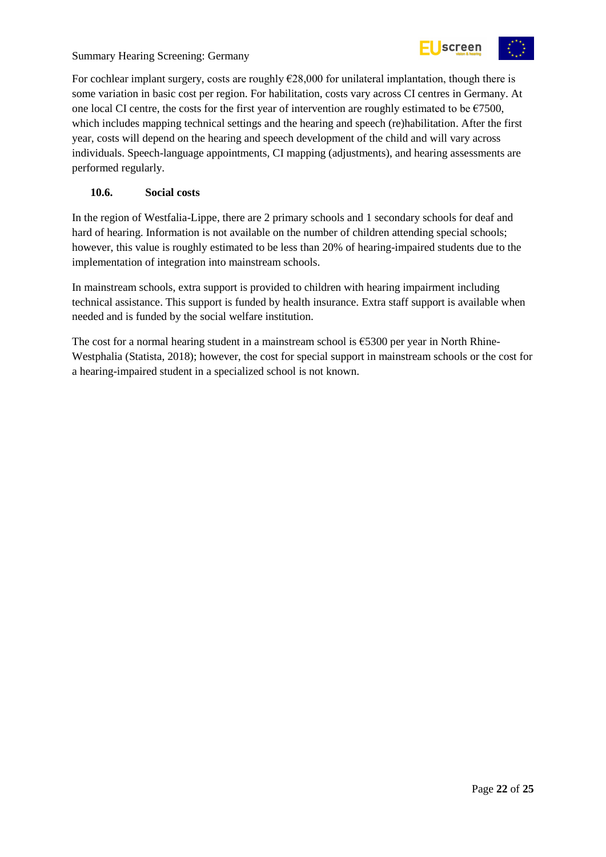

For cochlear implant surgery, costs are roughly  $E28,000$  for unilateral implantation, though there is some variation in basic cost per region. For habilitation, costs vary across CI centres in Germany. At one local CI centre, the costs for the first year of intervention are roughly estimated to be  $\epsilon$ 7500, which includes mapping technical settings and the hearing and speech (re)habilitation. After the first year, costs will depend on the hearing and speech development of the child and will vary across individuals. Speech-language appointments, CI mapping (adjustments), and hearing assessments are performed regularly.

#### <span id="page-21-0"></span>**10.6. Social costs**

In the region of Westfalia-Lippe, there are 2 primary schools and 1 secondary schools for deaf and hard of hearing. Information is not available on the number of children attending special schools; however, this value is roughly estimated to be less than 20% of hearing-impaired students due to the implementation of integration into mainstream schools.

In mainstream schools, extra support is provided to children with hearing impairment including technical assistance. This support is funded by health insurance. Extra staff support is available when needed and is funded by the social welfare institution.

The cost for a normal hearing student in a mainstream school is  $\epsilon$ 5300 per year in North Rhine-Westphalia (Statista, 2018); however, the cost for special support in mainstream schools or the cost for a hearing-impaired student in a specialized school is not known.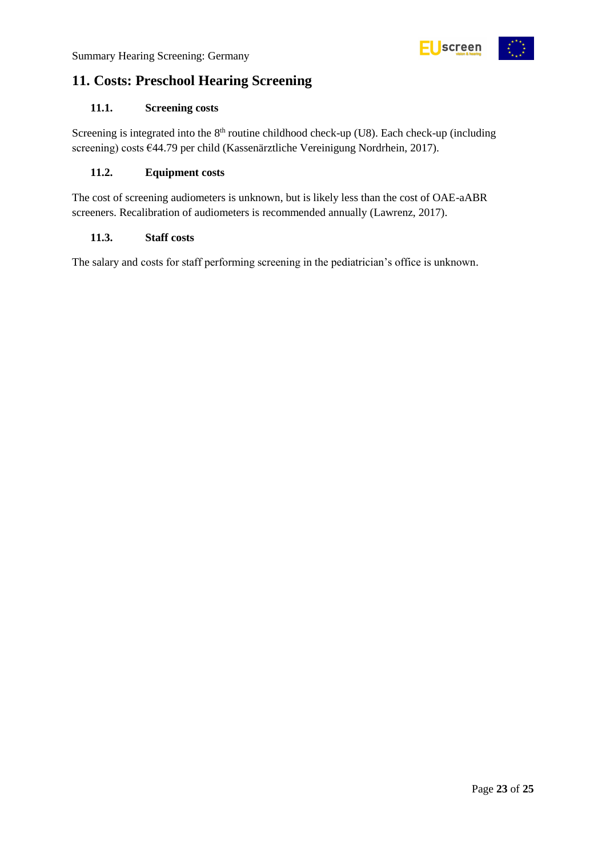

## <span id="page-22-0"></span>**11. Costs: Preschool Hearing Screening**

#### <span id="page-22-1"></span>**11.1. Screening costs**

Screening is integrated into the 8<sup>th</sup> routine childhood check-up (U8). Each check-up (including screening) costs €44.79 per child (Kassenärztliche Vereinigung Nordrhein, 2017).

#### <span id="page-22-2"></span>**11.2. Equipment costs**

The cost of screening audiometers is unknown, but is likely less than the cost of OAE-aABR screeners. Recalibration of audiometers is recommended annually (Lawrenz, 2017).

#### <span id="page-22-3"></span>**11.3. Staff costs**

The salary and costs for staff performing screening in the pediatrician's office is unknown.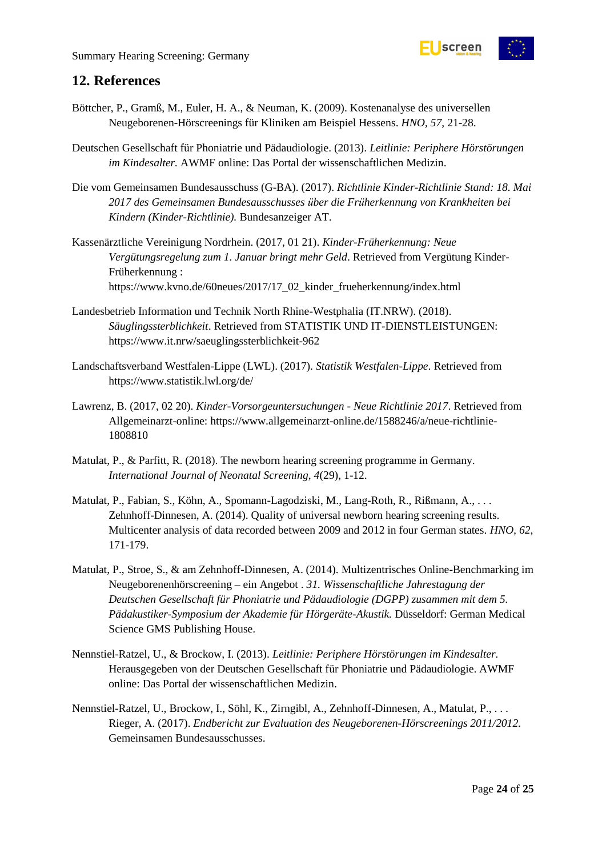

### <span id="page-23-0"></span>**12. References**

- Böttcher, P., Gramß, M., Euler, H. A., & Neuman, K. (2009). Kostenanalyse des universellen Neugeborenen-Hörscreenings für Kliniken am Beispiel Hessens. *HNO, 57*, 21-28.
- Deutschen Gesellschaft für Phoniatrie und Pädaudiologie. (2013). *Leitlinie: Periphere Hörstörungen im Kindesalter.* AWMF online: Das Portal der wissenschaftlichen Medizin.
- Die vom Gemeinsamen Bundesausschuss (G-BA). (2017). *Richtlinie Kinder-Richtlinie Stand: 18. Mai 2017 des Gemeinsamen Bundesausschusses über die Früherkennung von Krankheiten bei Kindern (Kinder-Richtlinie).* Bundesanzeiger AT.
- Kassenärztliche Vereinigung Nordrhein. (2017, 01 21). *Kinder-Früherkennung: Neue Vergütungsregelung zum 1. Januar bringt mehr Geld*. Retrieved from Vergütung Kinder-Früherkennung : https://www.kvno.de/60neues/2017/17\_02\_kinder\_frueherkennung/index.html
- Landesbetrieb Information und Technik North Rhine-Westphalia (IT.NRW). (2018). *Säuglingssterblichkeit*. Retrieved from STATISTIK UND IT-DIENSTLEISTUNGEN: https://www.it.nrw/saeuglingssterblichkeit-962
- Landschaftsverband Westfalen-Lippe (LWL). (2017). *Statistik Westfalen-Lippe*. Retrieved from https://www.statistik.lwl.org/de/
- Lawrenz, B. (2017, 02 20). *Kinder-Vorsorgeuntersuchungen - Neue Richtlinie 2017*. Retrieved from Allgemeinarzt-online: https://www.allgemeinarzt-online.de/1588246/a/neue-richtlinie-1808810
- Matulat, P., & Parfitt, R. (2018). The newborn hearing screening programme in Germany. *International Journal of Neonatal Screening, 4*(29), 1-12.
- Matulat, P., Fabian, S., Köhn, A., Spomann-Lagodziski, M., Lang-Roth, R., Rißmann, A., . . . Zehnhoff-Dinnesen, A. (2014). Quality of universal newborn hearing screening results. Multicenter analysis of data recorded between 2009 and 2012 in four German states. *HNO, 62*, 171-179.
- Matulat, P., Stroe, S., & am Zehnhoff-Dinnesen, A. (2014). Multizentrisches Online-Benchmarking im Neugeborenenhörscreening – ein Angebot . *31. Wissenschaftliche Jahrestagung der Deutschen Gesellschaft für Phoniatrie und Pädaudiologie (DGPP) zusammen mit dem 5. Pädakustiker-Symposium der Akademie für Hörgeräte-Akustik.* Düsseldorf: German Medical Science GMS Publishing House.
- Nennstiel-Ratzel, U., & Brockow, I. (2013). *Leitlinie: Periphere Hörstörungen im Kindesalter.* Herausgegeben von der Deutschen Gesellschaft für Phoniatrie und Pädaudiologie. AWMF online: Das Portal der wissenschaftlichen Medizin.
- Nennstiel-Ratzel, U., Brockow, I., Söhl, K., Zirngibl, A., Zehnhoff-Dinnesen, A., Matulat, P., . . . Rieger, A. (2017). *Endbericht zur Evaluation des Neugeborenen-Hörscreenings 2011/2012.* Gemeinsamen Bundesausschusses.